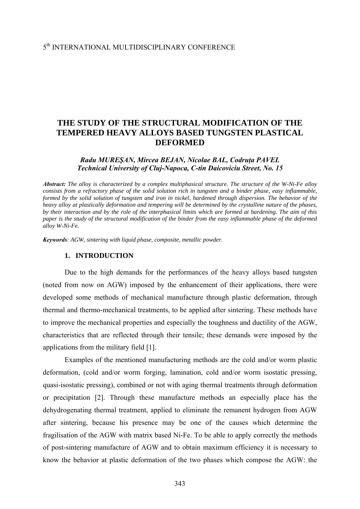### 5th INTERNATIONAL MULTIDISCIPLINARY CONFERENCE

# **THE STUDY OF THE STRUCTURAL MODIFICATION OF THE TEMPERED HEAVY ALLOYS BASED TUNGSTEN PLASTICAL DEFORMED**

#### *Radu MUREŞAN, Mircea BEJAN, Nicolae BAL, Codruţa PAVEL Technical University of Cluj-Napoca, C-tin Daicoviciu Street, No. 15*

*Abstract: The alloy is characterized by a complex multiphasical structure. The structure of the W-Ni-Fe alloy consists from a refractory phase of the solid solution rich in tungsten and a binder phase, easy inflammable, formed by the solid solution of tungsten and iron in nickel, hardened through dispersion. The behavior of the heavy alloy at plastically deformation and tempering will be determined by the crystalline nature of the phases, by their interaction and by the role of the interphasical limits which are formed at hardening. The aim of this paper is the study of the structural modification of the binder from the easy inflammable phase of the deformed alloy W-Ni-Fe.* 

*Keywords: AGW, sintering with liquid phase, composite, metallic powder.* 

#### **1. INTRODUCTION**

Due to the high demands for the performances of the heavy alloys based tungsten (noted from now on AGW) imposed by the enhancement of their applications, there were developed some methods of mechanical manufacture through plastic deformation, through thermal and thermo-mechanical treatments, to be applied after sintering. These methods have to improve the mechanical properties and especially the toughness and ductility of the AGW, characteristics that are reflected through their tensile; these demands were imposed by the applications from the military field [1].

Examples of the mentioned manufacturing methods are the cold and/or worm plastic deformation, (cold and/or worm forging, lamination, cold and/or worm isostatic pressing, quasi-isostatic pressing), combined or not with aging thermal treatments through deformation or precipitation [2]. Through these manufacture methods an especially place has the dehydrogenating thermal treatment, applied to eliminate the remanent hydrogen from AGW after sintering, because his presence may be one of the causes which determine the fragilisation of the AGW with matrix based Ni-Fe. To be able to apply correctly the methods of post-sintering manufacture of AGW and to obtain maximum efficiency it is necessary to know the behavior at plastic deformation of the two phases which compose the AGW: the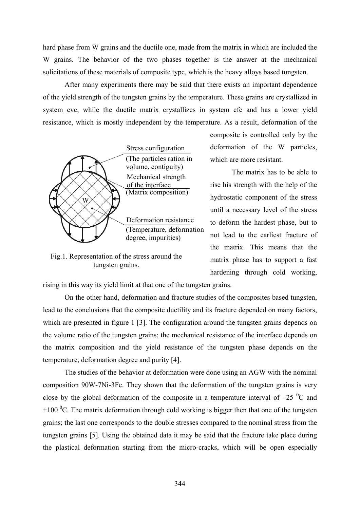hard phase from W grains and the ductile one, made from the matrix in which are included the W grains. The behavior of the two phases together is the answer at the mechanical solicitations of these materials of composite type, which is the heavy alloys based tungsten.

 After many experiments there may be said that there exists an important dependence of the yield strength of the tungsten grains by the temperature. These grains are crystallized in system cvc, while the ductile matrix crystallizes in system cfc and has a lower yield resistance, which is mostly independent by the temperature. As a result, deformation of the



Fig.1. Representation of the stress around the tungsten grains.

composite is controlled only by the deformation of the W particles, which are more resistant.

 The matrix has to be able to rise his strength with the help of the hydrostatic component of the stress until a necessary level of the stress to deform the hardest phase, but to not lead to the earliest fracture of the matrix. This means that the matrix phase has to support a fast hardening through cold working,

rising in this way its yield limit at that one of the tungsten grains.

On the other hand, deformation and fracture studies of the composites based tungsten, lead to the conclusions that the composite ductility and its fracture depended on many factors, which are presented in figure 1 [3]. The configuration around the tungsten grains depends on the volume ratio of the tungsten grains; the mechanical resistance of the interface depends on the matrix composition and the yield resistance of the tungsten phase depends on the temperature, deformation degree and purity [4].

 The studies of the behavior at deformation were done using an AGW with the nominal composition 90W-7Ni-3Fe. They shown that the deformation of the tungsten grains is very close by the global deformation of the composite in a temperature interval of  $-25\degree$ C and +100  $\rm{^0C}$ . The matrix deformation through cold working is bigger then that one of the tungsten grains; the last one corresponds to the double stresses compared to the nominal stress from the tungsten grains [5]. Using the obtained data it may be said that the fracture take place during the plastical deformation starting from the micro-cracks, which will be open especially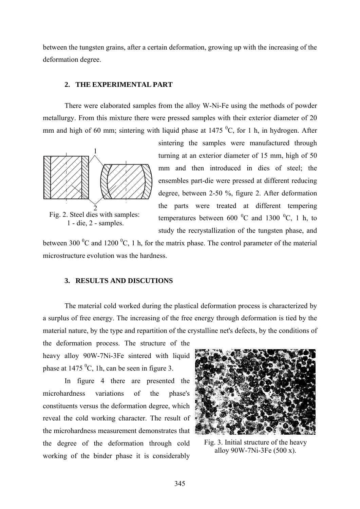between the tungsten grains, after a certain deformation, growing up with the increasing of the deformation degree.

#### **2. THE EXPERIMENTAL PART**

There were elaborated samples from the alloy W-Ni-Fe using the methods of powder metallurgy. From this mixture there were pressed samples with their exterior diameter of 20 mm and high of 60 mm; sintering with liquid phase at  $1475\,^0C$ , for 1 h, in hydrogen. After



Fig. 2. Steel dies with samples: 1 - die, 2 - samples.

sintering the samples were manufactured through turning at an exterior diameter of 15 mm, high of 50 mm and then introduced in dies of steel; the ensembles part-die were pressed at different reducing degree, between 2-50 %, figure 2. After deformation the parts were treated at different tempering temperatures between 600  $^0$ C and 1300  $^0$ C, 1 h, to study the recrystallization of the tungsten phase, and

between 300  $^{0}$ C and 1200  $^{0}$ C, 1 h, for the matrix phase. The control parameter of the material microstructure evolution was the hardness.

#### **3. RESULTS AND DISCUTIONS**

 The material cold worked during the plastical deformation process is characterized by a surplus of free energy. The increasing of the free energy through deformation is tied by the material nature, by the type and repartition of the crystalline net's defects, by the conditions of

the deformation process. The structure of the heavy alloy 90W-7Ni-3Fe sintered with liquid phase at  $1475 \text{ °C}$ , 1h, can be seen in figure 3.

 In figure 4 there are presented the microhardness variations of the phase's constituents versus the deformation degree, which reveal the cold working character. The result of the microhardness measurement demonstrates that the degree of the deformation through cold working of the binder phase it is considerably



Fig. 3. Initial structure of the heavy alloy 90W-7Ni-3Fe (500 x).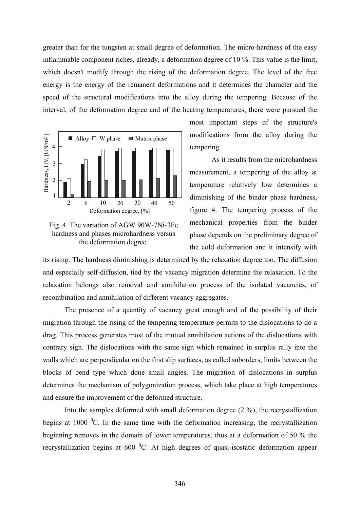greater than for the tungsten at small degree of deformation. The micro-hardness of the easy inflammable component riches, already, a deformation degree of 10 %. This value is the limit, which doesn't modify through the rising of the deformation degree. The level of the free energy is the energy of the remanent deformations and it determines the character and the speed of the structural modifications into the alloy during the tempering. Because of the interval, of the deformation degree and of the heating temperatures, there were pursued the



Fig. 4. The variation of AGW 90W-7Ni-3Fe hardness and phases microhardness versus the deformation degree.

most important steps of the structure's modifications from the alloy during the tempering.

 As it results from the microhardness measurement, a tempering of the alloy at temperature relatively low determines a diminishing of the binder phase hardness, figure 4. The tempering process of the mechanical properties from the binder phase depends on the preliminary degree of the cold deformation and it intensify with

its rising. The hardness diminishing is determined by the relaxation degree too. The diffusion and especially self-diffusion, tied by the vacancy migration determine the relaxation. To the relaxation belongs also removal and annihilation process of the isolated vacancies, of recombination and annihilation of different vacancy aggregates.

 The presence of a quantity of vacancy great enough and of the possibility of their migration through the rising of the tempering temperature permits to the dislocations to do a drag. This process generates most of the mutual annihilation actions of the dislocations with contrary sign. The dislocations with the same sign which remained in surplus rally into the walls which are perpendicular on the first slip surfaces, as called suborders, limits between the blocks of bend type which done small angles. The migration of dislocations in surplus determines the mechanism of polygonization process, which take place at high temperatures and ensure the improvement of the deformed structure.

 Into the samples deformed with small deformation degree (2 %), the recrystallization begins at 1000 $\mathrm{^{0}C}$ . In the same time with the deformation increasing, the recrystallization beginning removes in the domain of lower temperatures, thus at a deformation of 50 % the recrystallization begins at 600  $^{0}$ C. At high degrees of quasi-isostatic deformation appear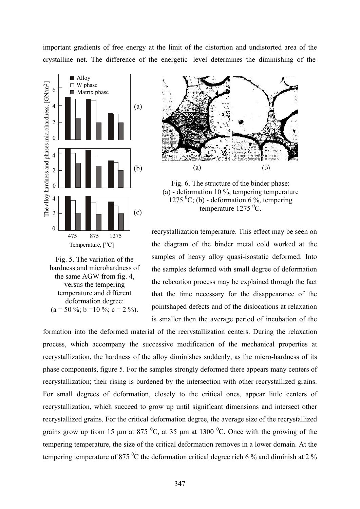important gradients of free energy at the limit of the distortion and undistorted area of the crystalline net. The difference of the energetic level determines the diminishing of the







Fig. 6. The structure of the binder phase: (a) - deformation 10 %, tempering temperature  $1275 \text{ }^0C$ ; (b) - deformation 6 %, tempering temperature 1275 <sup>0</sup>C.

recrystallization temperature. This effect may be seen on the diagram of the binder metal cold worked at the samples of heavy alloy quasi-isostatic deformed. Into the samples deformed with small degree of deformation the relaxation process may be explained through the fact that the time necessary for the disappearance of the pointshaped defects and of the dislocations at relaxation is smaller then the average period of incubation of the

formation into the deformed material of the recrystallization centers. During the relaxation process, which accompany the successive modification of the mechanical properties at recrystallization, the hardness of the alloy diminishes suddenly, as the micro-hardness of its phase components, figure 5. For the samples strongly deformed there appears many centers of recrystallization; their rising is burdened by the intersection with other recrystallized grains. For small degrees of deformation, closely to the critical ones, appear little centers of recrystallization, which succeed to grow up until significant dimensions and intersect other recrystallized grains. For the critical deformation degree, the average size of the recrystallized grains grow up from 15  $\mu$ m at 875 <sup>0</sup>C, at 35  $\mu$ m at 1300 <sup>0</sup>C. Once with the growing of the tempering temperature, the size of the critical deformation removes in a lower domain. At the tempering temperature of 875  $\mathrm{^{0}C}$  the deformation critical degree rich 6 % and diminish at 2 %